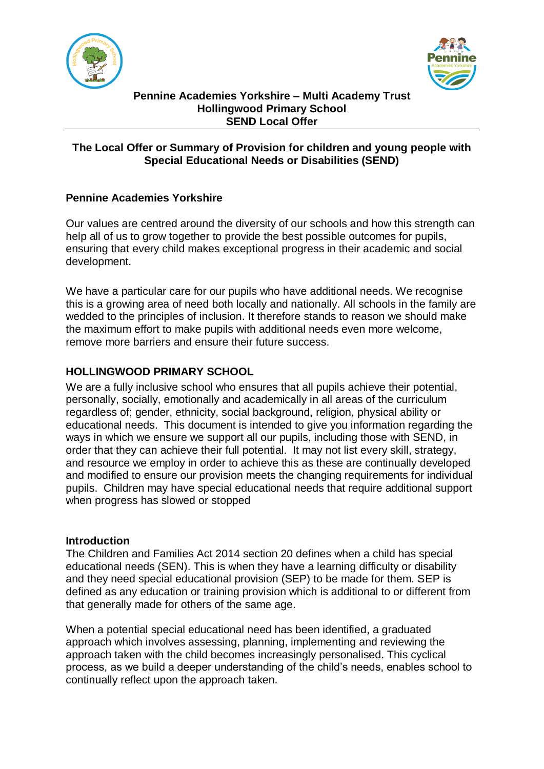



#### **Pennine Academies Yorkshire – Multi Academy Trust Hollingwood Primary School SEND Local Offer**

# **The Local Offer or Summary of Provision for children and young people with Special Educational Needs or Disabilities (SEND)**

# **Pennine Academies Yorkshire**

Our values are centred around the diversity of our schools and how this strength can help all of us to grow together to provide the best possible outcomes for pupils, ensuring that every child makes exceptional progress in their academic and social development.

We have a particular care for our pupils who have additional needs. We recognise this is a growing area of need both locally and nationally. All schools in the family are wedded to the principles of inclusion. It therefore stands to reason we should make the maximum effort to make pupils with additional needs even more welcome, remove more barriers and ensure their future success.

## **HOLLINGWOOD PRIMARY SCHOOL**

We are a fully inclusive school who ensures that all pupils achieve their potential, personally, socially, emotionally and academically in all areas of the curriculum regardless of; gender, ethnicity, social background, religion, physical ability or educational needs. This document is intended to give you information regarding the ways in which we ensure we support all our pupils, including those with SEND, in order that they can achieve their full potential. It may not list every skill, strategy, and resource we employ in order to achieve this as these are continually developed and modified to ensure our provision meets the changing requirements for individual pupils. Children may have special educational needs that require additional support when progress has slowed or stopped

## **Introduction**

The Children and Families Act 2014 section 20 defines when a child has special educational needs (SEN). This is when they have a learning difficulty or disability and they need special educational provision (SEP) to be made for them. SEP is defined as any education or training provision which is additional to or different from that generally made for others of the same age.

When a potential special educational need has been identified, a graduated approach which involves assessing, planning, implementing and reviewing the approach taken with the child becomes increasingly personalised. This cyclical process, as we build a deeper understanding of the child's needs, enables school to continually reflect upon the approach taken.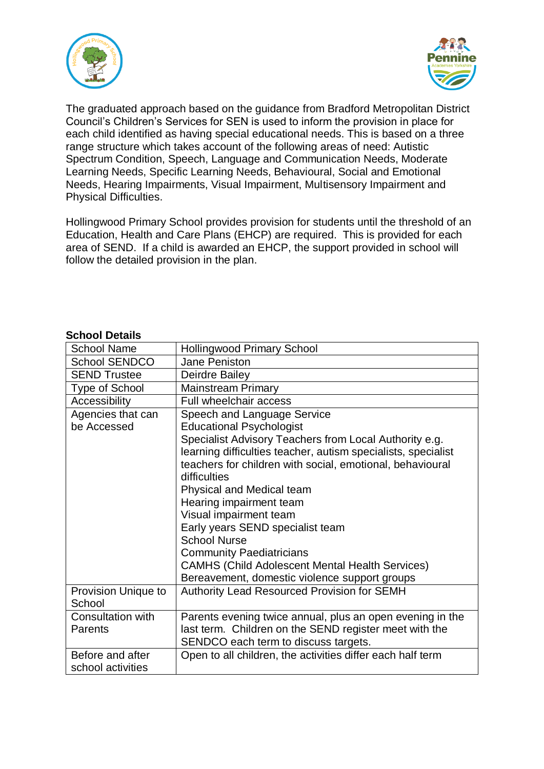



The graduated approach based on the guidance from Bradford Metropolitan District Council's Children's Services for SEN is used to inform the provision in place for each child identified as having special educational needs. This is based on a three range structure which takes account of the following areas of need: Autistic Spectrum Condition, Speech, Language and Communication Needs, Moderate Learning Needs, Specific Learning Needs, Behavioural, Social and Emotional Needs, Hearing Impairments, Visual Impairment, Multisensory Impairment and Physical Difficulties.

Hollingwood Primary School provides provision for students until the threshold of an Education, Health and Care Plans (EHCP) are required. This is provided for each area of SEND. If a child is awarded an EHCP, the support provided in school will follow the detailed provision in the plan.

#### **School Details**

| <b>School Name</b>                    | <b>Hollingwood Primary School</b>                                                                                                                                                                                                                                                                                                                                                                                                                      |  |
|---------------------------------------|--------------------------------------------------------------------------------------------------------------------------------------------------------------------------------------------------------------------------------------------------------------------------------------------------------------------------------------------------------------------------------------------------------------------------------------------------------|--|
| <b>School SENDCO</b>                  | Jane Peniston                                                                                                                                                                                                                                                                                                                                                                                                                                          |  |
| <b>SEND Trustee</b>                   | Deirdre Bailey                                                                                                                                                                                                                                                                                                                                                                                                                                         |  |
| Type of School                        | <b>Mainstream Primary</b>                                                                                                                                                                                                                                                                                                                                                                                                                              |  |
| Accessibility                         | Full wheelchair access                                                                                                                                                                                                                                                                                                                                                                                                                                 |  |
| Agencies that can<br>be Accessed      | Speech and Language Service<br><b>Educational Psychologist</b><br>Specialist Advisory Teachers from Local Authority e.g.<br>learning difficulties teacher, autism specialists, specialist<br>teachers for children with social, emotional, behavioural<br>difficulties<br>Physical and Medical team<br>Hearing impairment team<br>Visual impairment team<br>Early years SEND specialist team<br><b>School Nurse</b><br><b>Community Paediatricians</b> |  |
|                                       | <b>CAMHS (Child Adolescent Mental Health Services)</b><br>Bereavement, domestic violence support groups                                                                                                                                                                                                                                                                                                                                                |  |
| Provision Unique to<br>School         | Authority Lead Resourced Provision for SEMH                                                                                                                                                                                                                                                                                                                                                                                                            |  |
| Consultation with<br>Parents          | Parents evening twice annual, plus an open evening in the<br>last term. Children on the SEND register meet with the<br>SENDCO each term to discuss targets.                                                                                                                                                                                                                                                                                            |  |
| Before and after<br>school activities | Open to all children, the activities differ each half term                                                                                                                                                                                                                                                                                                                                                                                             |  |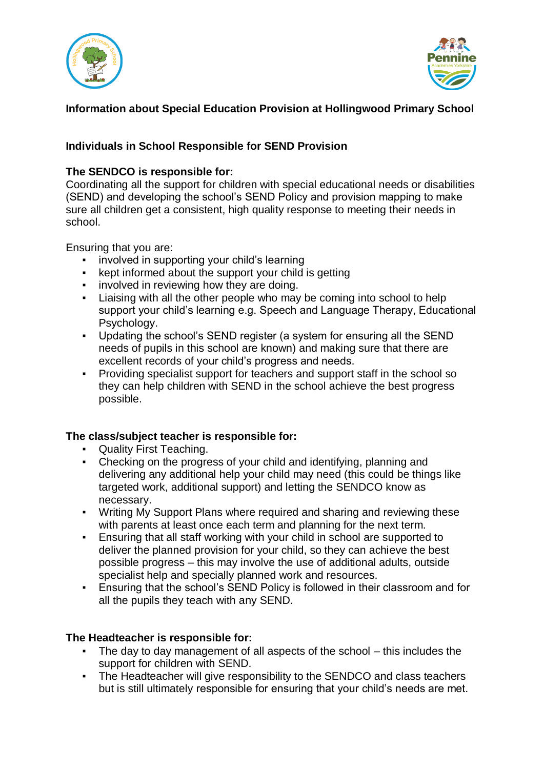



# **Information about Special Education Provision at Hollingwood Primary School**

# **Individuals in School Responsible for SEND Provision**

## **The SENDCO is responsible for:**

Coordinating all the support for children with special educational needs or disabilities (SEND) and developing the school's SEND Policy and provision mapping to make sure all children get a consistent, high quality response to meeting their needs in school.

Ensuring that you are:

- involved in supporting your child's learning
- kept informed about the support your child is getting
- **•** involved in reviewing how they are doing.
- Liaising with all the other people who may be coming into school to help support your child's learning e.g. Speech and Language Therapy, Educational Psychology.
- Updating the school's SEND register (a system for ensuring all the SEND needs of pupils in this school are known) and making sure that there are excellent records of your child's progress and needs.
- Providing specialist support for teachers and support staff in the school so they can help children with SEND in the school achieve the best progress possible.

# **The class/subject teacher is responsible for:**

- Quality First Teaching.
- Checking on the progress of your child and identifying, planning and delivering any additional help your child may need (this could be things like targeted work, additional support) and letting the SENDCO know as necessary.
- Writing My Support Plans where required and sharing and reviewing these with parents at least once each term and planning for the next term.
- **Ensuring that all staff working with your child in school are supported to** deliver the planned provision for your child, so they can achieve the best possible progress – this may involve the use of additional adults, outside specialist help and specially planned work and resources.
- **Ensuring that the school's SEND Policy is followed in their classroom and for** all the pupils they teach with any SEND.

# **The Headteacher is responsible for:**

- The day to day management of all aspects of the school this includes the support for children with SEND.
- **The Headteacher will give responsibility to the SENDCO and class teachers** but is still ultimately responsible for ensuring that your child's needs are met.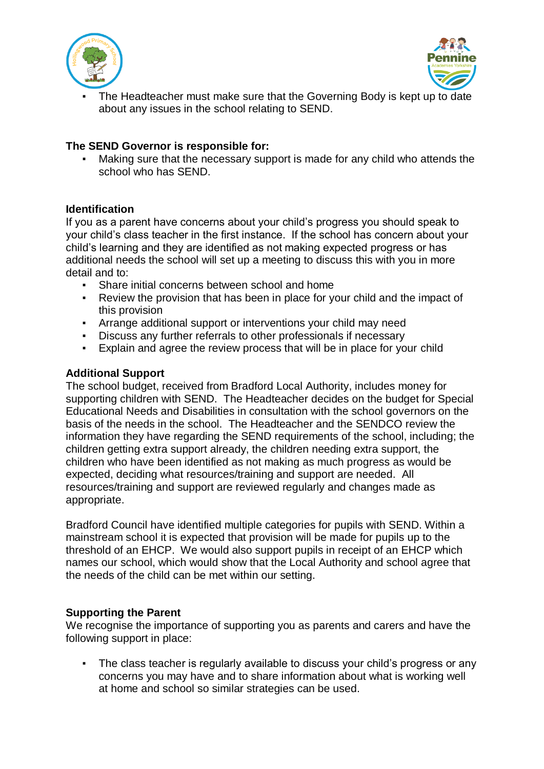



The Headteacher must make sure that the Governing Body is kept up to date about any issues in the school relating to SEND.

## **The SEND Governor is responsible for:**

Making sure that the necessary support is made for any child who attends the school who has SEND.

## **Identification**

If you as a parent have concerns about your child's progress you should speak to your child's class teacher in the first instance. If the school has concern about your child's learning and they are identified as not making expected progress or has additional needs the school will set up a meeting to discuss this with you in more detail and to:

- **Share initial concerns between school and home**
- Review the provision that has been in place for your child and the impact of this provision
- **EXECT** Arrange additional support or interventions your child may need
- Discuss any further referrals to other professionals if necessary
- Explain and agree the review process that will be in place for your child

#### **Additional Support**

The school budget, received from Bradford Local Authority, includes money for supporting children with SEND. The Headteacher decides on the budget for Special Educational Needs and Disabilities in consultation with the school governors on the basis of the needs in the school. The Headteacher and the SENDCO review the information they have regarding the SEND requirements of the school, including; the children getting extra support already, the children needing extra support, the children who have been identified as not making as much progress as would be expected, deciding what resources/training and support are needed. All resources/training and support are reviewed regularly and changes made as appropriate.

Bradford Council have identified multiple categories for pupils with SEND. Within a mainstream school it is expected that provision will be made for pupils up to the threshold of an EHCP. We would also support pupils in receipt of an EHCP which names our school, which would show that the Local Authority and school agree that the needs of the child can be met within our setting.

## **Supporting the Parent**

We recognise the importance of supporting you as parents and carers and have the following support in place:

▪ The class teacher is regularly available to discuss your child's progress or any concerns you may have and to share information about what is working well at home and school so similar strategies can be used.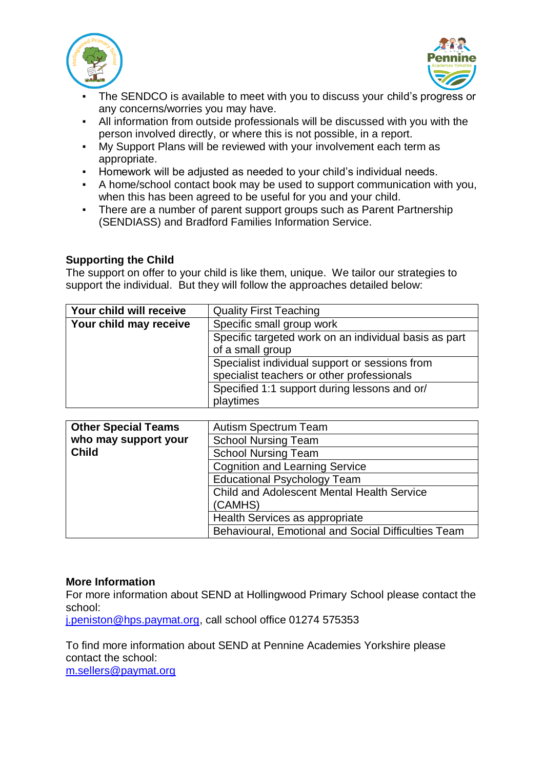



- The SENDCO is available to meet with you to discuss your child's progress or any concerns/worries you may have.
- All information from outside professionals will be discussed with you with the person involved directly, or where this is not possible, in a report.
- My Support Plans will be reviewed with your involvement each term as appropriate.
- Homework will be adjusted as needed to your child's individual needs.
- A home/school contact book may be used to support communication with you, when this has been agreed to be useful for you and your child.
- There are a number of parent support groups such as Parent Partnership (SENDIASS) and Bradford Families Information Service.

## **Supporting the Child**

The support on offer to your child is like them, unique. We tailor our strategies to support the individual. But they will follow the approaches detailed below:

| Your child will receive | <b>Quality First Teaching</b>                         |
|-------------------------|-------------------------------------------------------|
| Your child may receive  | Specific small group work                             |
|                         | Specific targeted work on an individual basis as part |
|                         | of a small group                                      |
|                         | Specialist individual support or sessions from        |
|                         | specialist teachers or other professionals            |
|                         | Specified 1:1 support during lessons and or/          |
|                         | playtimes                                             |

| <b>Other Special Teams</b> | <b>Autism Spectrum Team</b>                         |
|----------------------------|-----------------------------------------------------|
| who may support your       | <b>School Nursing Team</b>                          |
| <b>Child</b>               | <b>School Nursing Team</b>                          |
|                            | <b>Cognition and Learning Service</b>               |
|                            | <b>Educational Psychology Team</b>                  |
|                            | <b>Child and Adolescent Mental Health Service</b>   |
|                            | (CAMHS)                                             |
|                            | Health Services as appropriate                      |
|                            | Behavioural, Emotional and Social Difficulties Team |

## **More Information**

For more information about SEND at Hollingwood Primary School please contact the school:

[j.peniston@hps.paymat.org,](mailto:j.peniston@hps.paymat.org) call school office 01274 575353

To find more information about SEND at Pennine Academies Yorkshire please contact the school: [m.sellers@paymat.org](mailto:m.sellers@paymat.org)